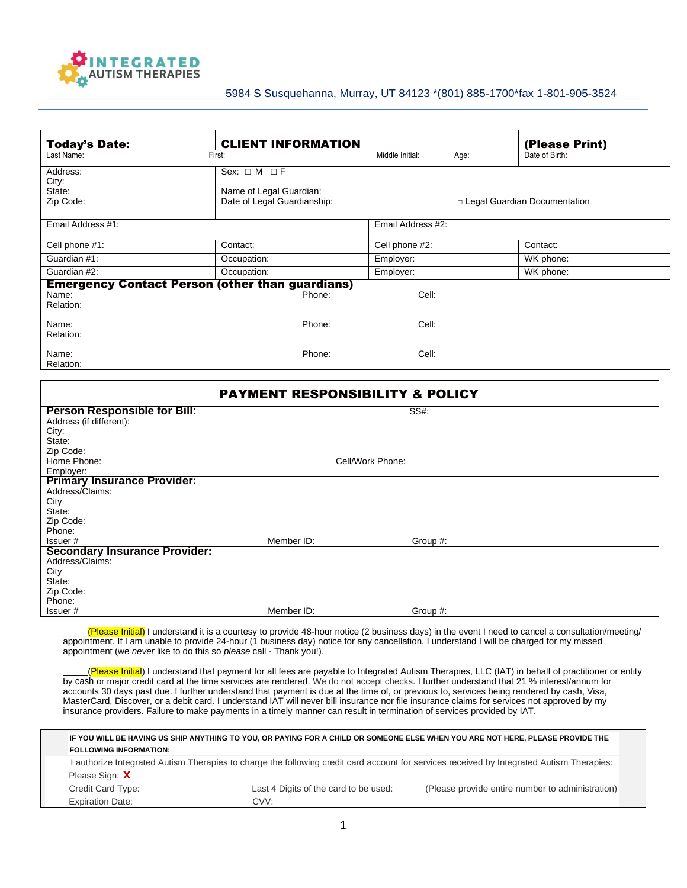

## 5984 S Susquehanna, Murray, UT 84123 \*(801) 885-1700\*fax 1-801-905-3524

| <b>Today's Date:</b>                     | <b>CLIENT INFORMATION</b>                                                        |                   |      | (Please Print)                 |
|------------------------------------------|----------------------------------------------------------------------------------|-------------------|------|--------------------------------|
| Last Name:                               | First:                                                                           | Middle Initial:   | Age: | Date of Birth:                 |
| Address:<br>City:<br>State:<br>Zip Code: | Sex: $\Box$ M $\Box$ F<br>Name of Legal Guardian:<br>Date of Legal Guardianship: |                   |      | □ Legal Guardian Documentation |
| Email Address #1:                        |                                                                                  | Email Address #2: |      |                                |
| Cell phone #1:                           | Contact:                                                                         | Cell phone #2:    |      | Contact:                       |
| Guardian #1:                             | Occupation:                                                                      | Employer:         |      | WK phone:                      |
| Guardian #2:                             | Occupation:                                                                      | Employer:         |      | WK phone:                      |
| Name:<br>Relation:                       | <b>Emergency Contact Person (other than guardians)</b><br>Phone:                 | Cell:             |      |                                |
| Name:<br>Relation:                       | Phone:                                                                           | Cell:             |      |                                |
| Name:<br>Relation:                       | Phone:                                                                           | Cell:             |      |                                |

| <b>PAYMENT RESPONSIBILITY &amp; POLICY</b>              |            |                  |  |  |  |  |
|---------------------------------------------------------|------------|------------------|--|--|--|--|
| <b>Person Responsible for Bill:</b>                     |            | SS#:             |  |  |  |  |
| Address (if different):<br>City:                        |            |                  |  |  |  |  |
| State:                                                  |            |                  |  |  |  |  |
| Zip Code:                                               |            |                  |  |  |  |  |
| Home Phone:                                             |            | Cell/Work Phone: |  |  |  |  |
| Employer:                                               |            |                  |  |  |  |  |
| <b>Primary Insurance Provider:</b><br>Address/Claims:   |            |                  |  |  |  |  |
| City                                                    |            |                  |  |  |  |  |
| State:                                                  |            |                  |  |  |  |  |
| Zip Code:                                               |            |                  |  |  |  |  |
| Phone:                                                  |            |                  |  |  |  |  |
| Issuer#                                                 | Member ID: | Group #:         |  |  |  |  |
| <b>Secondary Insurance Provider:</b><br>Address/Claims: |            |                  |  |  |  |  |
| City                                                    |            |                  |  |  |  |  |
| State:                                                  |            |                  |  |  |  |  |
| Zip Code:                                               |            |                  |  |  |  |  |
| Phone:                                                  |            |                  |  |  |  |  |
| Issuer#                                                 | Member ID: | Group #:         |  |  |  |  |

\_\_\_\_\_(Please Initial) I understand it is a courtesy to provide 48-hour notice (2 business days) in the event I need to cancel a consultation/meeting/ appointment. If I am unable to provide 24-hour (1 business day) notice for any cancellation, I understand I will be charged for my missed appointment (we *never* like to do this so *please* call - Thank you!).

(Please Initial) I understand that payment for all fees are payable to Integrated Autism Therapies, LLC (IAT) in behalf of practitioner or entity by cash or major credit card at the time services are rendered. We do not accept checks. I further understand that 21 % interest/annum for accounts 30 days past due. I further understand that payment is due at the time of, or previous to, services being rendered by cash, Visa, MasterCard, Discover, or a debit card. I understand IAT will never bill insurance nor file insurance claims for services not approved by my insurance providers. Failure to make payments in a timely manner can result in termination of services provided by IAT.

|                               | IF YOU WILL BE HAVING US SHIP ANYTHING TO YOU, OR PAYING FOR A CHILD OR SOMEONE ELSE WHEN YOU ARE NOT HERE, PLEASE PROVIDE THE |                                                                                                                                           |
|-------------------------------|--------------------------------------------------------------------------------------------------------------------------------|-------------------------------------------------------------------------------------------------------------------------------------------|
| <b>FOLLOWING INFORMATION:</b> |                                                                                                                                |                                                                                                                                           |
|                               |                                                                                                                                | I authorize Integrated Autism Therapies to charge the following credit card account for services received by Integrated Autism Therapies: |
| Please Sign: X                |                                                                                                                                |                                                                                                                                           |
| Credit Card Type:             | Last 4 Digits of the card to be used:                                                                                          | (Please provide entire number to administration)                                                                                          |
| <b>Expiration Date:</b>       | CVV:                                                                                                                           |                                                                                                                                           |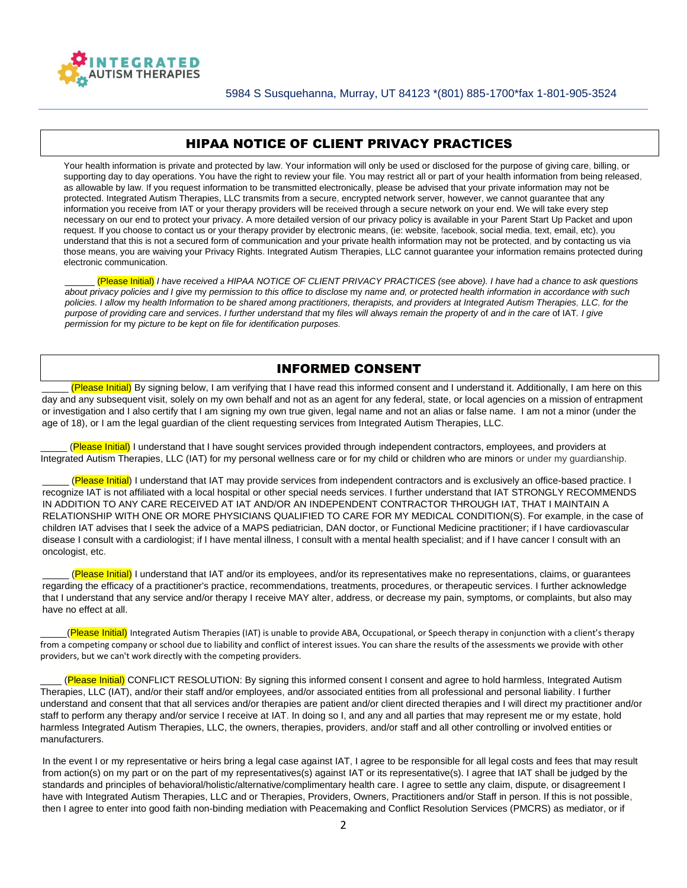

## HIPAA NOTICE OF CLIENT PRIVACY PRACTICES

Your health information is private and protected by law. Your information will only be used or disclosed for the purpose of giving care, billing, or supporting day to day operations. You have the right to review your file. You may restrict all or part of your health information from being released, as allowable by law. If you request information to be transmitted electronically, please be advised that your private information may not be protected. Integrated Autism Therapies, LLC transmits from a secure, encrypted network server, however, we cannot guarantee that any information you receive from IAT or your therapy providers will be received through a secure network on your end. We will take every step necessary on our end to protect your privacy. A more detailed version of our privacy policy is available in your Parent Start Up Packet and upon request. If you choose to contact us or your therapy provider by electronic means, (ie: website, facebook, social media, text, email, etc), you understand that this is not a secured form of communication and your private health information may not be protected, and by contacting us via those means, you are waiving your Privacy Rights. Integrated Autism Therapies, LLC cannot guarantee your information remains protected during electronic communication.

\_\_\_\_\_\_ (Please Initial) *I have received* a *HIPAA NOTICE OF CLIENT PRIVACY PRACTICES (see above). I have had* a *chance to ask questions about privacy policies and I give* my *permission to this office to disclose* my *name and, or protected health information in accordance with such policies. I allow* my *health Information to be shared among practitioners, therapists, and providers at Integrated Autism Therapies, LLC, for the purpose of providing care and services. I further understand that* my *files will always remain the property* of *and in the care* of IAT*. I give permission for* my *picture to be kept on file for identification purposes.* 

## INFORMED CONSENT

(Please Initial) By signing below, I am verifying that I have read this informed consent and I understand it. Additionally, I am here on this day and any subsequent visit, solely on my own behalf and not as an agent for any federal, state, or local agencies on a mission of entrapment or investigation and I also certify that I am signing my own true given, legal name and not an alias or false name. I am not a minor (under the age of 18), or I am the legal guardian of the client requesting services from Integrated Autism Therapies, LLC.

(Please Initial) I understand that I have sought services provided through independent contractors, employees, and providers at Integrated Autism Therapies, LLC (IAT) for my personal wellness care or for my child or children who are minors or under my guardianship.

(Please Initial) I understand that IAT may provide services from independent contractors and is exclusively an office-based practice. I recognize IAT is not affiliated with a local hospital or other special needs services. I further understand that IAT STRONGLY RECOMMENDS IN ADDITION TO ANY CARE RECEIVED AT IAT AND/OR AN INDEPENDENT CONTRACTOR THROUGH IAT, THAT I MAINTAIN A RELATIONSHIP WITH ONE OR MORE PHYSICIANS QUALIFIED TO CARE FOR MY MEDICAL CONDITION(S). For example, in the case of children IAT advises that I seek the advice of a MAPS pediatrician, DAN doctor, or Functional Medicine practitioner; if I have cardiovascular disease I consult with a cardiologist; if I have mental illness, I consult with a mental health specialist; and if I have cancer I consult with an oncologist, etc.

(Please Initial) I understand that IAT and/or its employees, and/or its representatives make no representations, claims, or guarantees regarding the efficacy of a practitioner's practice, recommendations, treatments, procedures, or therapeutic services. I further acknowledge that I understand that any service and/or therapy I receive MAY alter, address, or decrease my pain, symptoms, or complaints, but also may have no effect at all.

(Please Initial) Integrated Autism Therapies (IAT) is unable to provide ABA, Occupational, or Speech therapy in conjunction with a client's therapy from a competing company or school due to liability and conflict of interest issues. You can share the results of the assessments we provide with other providers, but we can't work directly with the competing providers.

(Please Initial) CONFLICT RESOLUTION: By signing this informed consent I consent and agree to hold harmless, Integrated Autism Therapies, LLC (IAT), and/or their staff and/or employees, and/or associated entities from all professional and personal liability. I further understand and consent that that all services and/or therapies are patient and/or client directed therapies and I will direct my practitioner and/or staff to perform any therapy and/or service I receive at IAT. In doing so I, and any and all parties that may represent me or my estate, hold harmless Integrated Autism Therapies, LLC, the owners, therapies, providers, and/or staff and all other controlling or involved entities or manufacturers.

In the event I or my representative or heirs bring a legal case against IAT, I agree to be responsible for all legal costs and fees that may result from action(s) on my part or on the part of my representatives(s) against IAT or its representative(s). I agree that IAT shall be judged by the standards and principles of behavioral/holistic/alternative/complimentary health care. I agree to settle any claim, dispute, or disagreement I have with Integrated Autism Therapies, LLC and or Therapies, Providers, Owners, Practitioners and/or Staff in person. If this is not possible, then I agree to enter into good faith non-binding mediation with Peacemaking and Conflict Resolution Services (PMCRS) as mediator, or if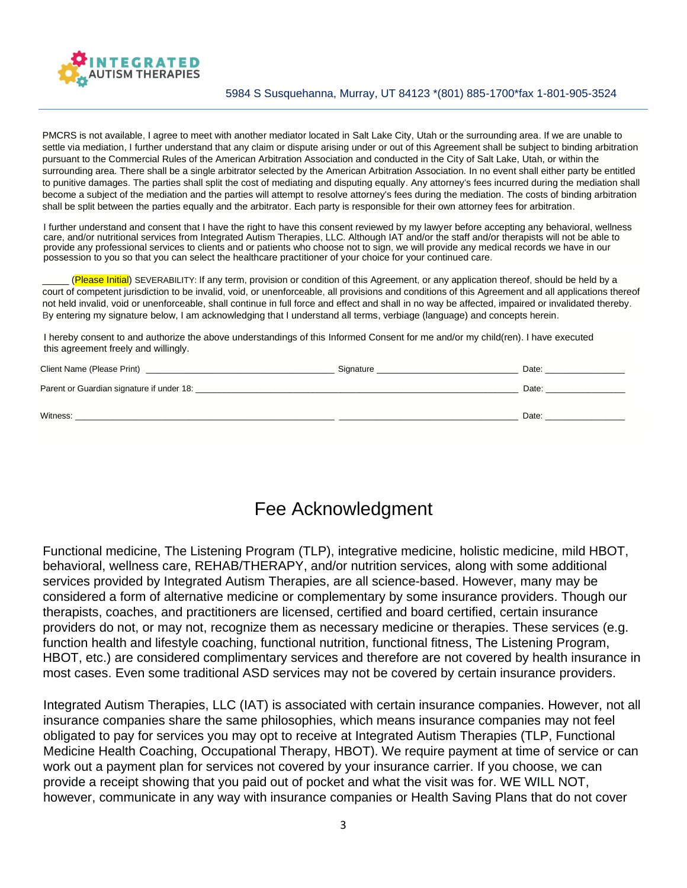

PMCRS is not available, I agree to meet with another mediator located in Salt Lake City, Utah or the surrounding area. If we are unable to settle via mediation, I further understand that any claim or dispute arising under or out of this Agreement shall be subject to binding arbitration pursuant to the Commercial Rules of the American Arbitration Association and conducted in the City of Salt Lake, Utah, or within the surrounding area. There shall be a single arbitrator selected by the American Arbitration Association. In no event shall either party be entitled to punitive damages. The parties shall split the cost of mediating and disputing equally. Any attorney's fees incurred during the mediation shall become a subject of the mediation and the parties will attempt to resolve attorney's fees during the mediation. The costs of binding arbitration shall be split between the parties equally and the arbitrator. Each party is responsible for their own attorney fees for arbitration.

I further understand and consent that I have the right to have this consent reviewed by my lawyer before accepting any behavioral, wellness care, and/or nutritional services from Integrated Autism Therapies, LLC. Although IAT and/or the staff and/or therapists will not be able to provide any professional services to clients and or patients who choose not to sign, we will provide any medical records we have in our possession to you so that you can select the healthcare practitioner of your choice for your continued care.

(Please Initial) SEVERABILITY: If any term, provision or condition of this Agreement, or any application thereof, should be held by a court of competent jurisdiction to be invalid, void, or unenforceable, all provisions and conditions of this Agreement and all applications thereof not held invalid, void or unenforceable, shall continue in full force and effect and shall in no way be affected, impaired or invalidated thereby. By entering my signature below, I am acknowledging that I understand all terms, verbiage (language) and concepts herein.

I hereby consent to and authorize the above understandings of this Informed Consent for me and/or my child(ren). I have executed this agreement freely and willingly.

| Client Name (Please Print)                | Signature | Date: |
|-------------------------------------------|-----------|-------|
| Parent or Guardian signature if under 18: |           | Date: |
| Witness:                                  |           | Date: |

## Fee Acknowledgment

Functional medicine, The Listening Program (TLP), integrative medicine, holistic medicine, mild HBOT, behavioral, wellness care, REHAB/THERAPY, and/or nutrition services, along with some additional services provided by Integrated Autism Therapies, are all science-based. However, many may be considered a form of alternative medicine or complementary by some insurance providers. Though our therapists, coaches, and practitioners are licensed, certified and board certified, certain insurance providers do not, or may not, recognize them as necessary medicine or therapies. These services (e.g. function health and lifestyle coaching, functional nutrition, functional fitness, The Listening Program, HBOT, etc.) are considered complimentary services and therefore are not covered by health insurance in most cases. Even some traditional ASD services may not be covered by certain insurance providers.

Integrated Autism Therapies, LLC (IAT) is associated with certain insurance companies. However, not all insurance companies share the same philosophies, which means insurance companies may not feel obligated to pay for services you may opt to receive at Integrated Autism Therapies (TLP, Functional Medicine Health Coaching, Occupational Therapy, HBOT). We require payment at time of service or can work out a payment plan for services not covered by your insurance carrier. If you choose, we can provide a receipt showing that you paid out of pocket and what the visit was for. WE WILL NOT, however, communicate in any way with insurance companies or Health Saving Plans that do not cover